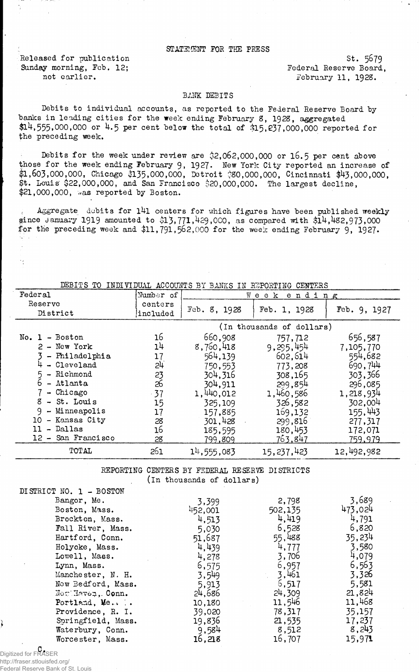## STATEMENT FOR THE PRESS

Released for publication Sunday morning, Feb, 12; not earlier.

st. 5679 Federal Reserve Board, .February 11, 1928.

## BANK DEBITS

Debits to individual accounts, as reported to the Federal Reserve Board by banks in leading cities for the week ending February 8, 1928, aggregated \$14,555,000,000 or 4.5 per cent below the total of \$15,237,000,000 reported for the preceding week.

Debits for the week under review are  $32,062,000,000$  or 16.5 per cent above those for the week ending February 9, 1927. New York City reported an increase of  $$1,603,000,000,$  Chicago  $$135,000,000,$  Detroit  $$80,000,000,$  Cincinnati  $$43,000,000,$ \$t. Louis' \$22,000,000, and San Francisco \$20,000,000. The largest decline,  $$21,000,000,$  was reported by Boston.

Aggregate debits for 141 centers for which figures have been published weekly since January 1919 amounted to \$13,771,429,000, as compared with  $$14,482,973,000$ for the preceding week and  $$11,791,562,000$  for the week ending February 9, 1927.

DEBITS TO INDIVIDUAL ACCOUNTS BY BANKS IN REPORTING CENTERS

| Federal              | Mumber of           | Week ending  |                           |              |  |
|----------------------|---------------------|--------------|---------------------------|--------------|--|
| Reserve<br>District  | centers<br>included | Feb. 8, 1928 | Feb. 1, 1928              | Feb. 9, 1927 |  |
|                      |                     |              | (In thousands of dollars) |              |  |
| No. 1 - Boston       | 16                  | 660,908      | 757,712                   | 656,587      |  |
| $2 - New York$       | 1 <sup>h</sup>      | 8,760,418    | 9,295,454                 | 7,105,770    |  |
| - Philadelphia       | 17                  | 564,139      | 602.614                   | 554,682      |  |
| - Cleveland          | 2 <sup>1</sup>      | 750,553      | 773,208                   | 690,744      |  |
| - Richmond           | 23<br>26            | 304, 316     | 308,165                   | 303,366      |  |
| - Atlanta            |                     | 304,911      | 299,854                   | 296,085      |  |
| - Chicago            | $-37$               | 1,440,012    | 1,460,586                 | 1,218,934    |  |
| $8 - St.$ Louis      | 15                  | 325,109      | 326,582                   | 302,004      |  |
| $-$ Minneapolis<br>9 | 17                  | 157,885      | 169,132                   | 155,443      |  |
| - Kansas City<br>10  | 28                  | 301,428      | 299,816                   | 277,317      |  |
| - Dallas<br>11       | 16                  | 185,595      | 180,453                   | 172,071      |  |
| 12 - San Francisco   | 28                  | 799,809      | <u>763,847</u>            | 759,979      |  |
| TOTAL                | 261                 | 14,555,083   | 15, 237, 423              | 12,492,982   |  |

REPORTING CENTERS BY FEDERAL RESERVE DISTRICTS (in thousands of dollars)

| DISTRICT NO. 1 - BOSTON |         |         |         |
|-------------------------|---------|---------|---------|
| Bangor, Me.             | 3,399   | 2,798   | 3,689   |
| Boston, Mass.           | 452,001 | 502,135 | 473,024 |
| Brockton, Mass.         | 4,513   | 4,419   | 4,791   |
| Fall River, Mass.       | 5,030   | 6,528   | 6,820   |
| Hartford, Conn.         | 51,687  | 55,488  | 35,234  |
| Holyoke, Mass.          | 4,439   | 4,777   | 3,580   |
| Lowell, Mass.           | 4.278   | 3,706   | 4,079   |
| Lynn, Mass.             | 6,575   | 6,957   | 6,563   |
| Manchester, N. H.       | 3,549   | 3.461   | 3,326   |
| New Bedford, Mass.      | 5,913   | 6,517   | 5,581   |
| NewlHaven, Conn.        | 24,686  | 24,309  | 21,824  |
| Portland, Me            | 10,180  | 11,546  | 11,468  |
| Providence, R. I.       | 39,020  | 78,317  | 35,157  |
| Springfield, Mass.      | 19,836  | 21,535  | 17,237  |
| Waterbury, Conn.        | 9,584   | 8,512   | 8,243   |
| Worcester, Mass.        | 16,218  | 16,707  | 15,971  |

C. Digitized for FRASER

http://fraser.stlouisfed.org/ Federal Reserve Bank of St. Louis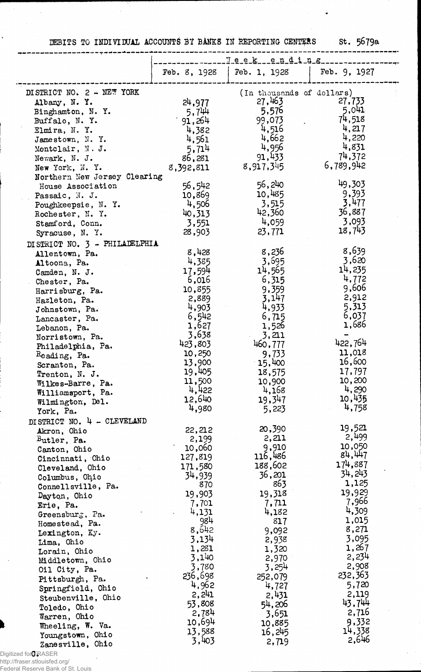## DEBITS TO INDIVIDUAL ACCOUNTS BY BANKS IN REPORTING CENTERS St. 5679a

---------

----------

.<br>ويدرجها على بين شركة في الله عند بعد بين بين بين الله الله عند بين الين الين بين .

 $\bullet$ 

| Feb. 8, 1928<br>DISTRICT NO. 2 - NEW YORK<br>24,977<br>Albany, N.Y.<br>5,744<br>Binghamton, N.Y.<br>91,264<br>Buffalo, N. Y.<br>4,382<br>Elmira, N.Y.<br>4,561<br>Jamestown, N.Y.<br>5.714<br>Montclair, N. J.<br>86,281<br>Newark, N. J.<br>8,392,811<br>New York, N.Y.<br>Northern New Jersey Clearing<br>56,542<br>House Association<br>10,869<br>Passaic, N. J.<br>4,506<br>Poughkeepsie, N.Y.<br>40,313<br>Rochester, N.Y.<br>Stamford, Conn.<br>Syracuse, N. Y.<br>DISTRICT NO. 3 - PHILADELPHIA<br>Allentown, Pa.<br>Altoona, Pa.<br>17,594<br>Camden, N. J.<br>Chester, Pa.<br>10,855<br>Harrisburg, Pa.<br>2,889<br>Hazleton, Pa.<br>4,903<br>Johnstown, Pa.<br>6,542<br>Lancaster, Pa.<br>1,627<br>Lebanon, Pa.<br>3,638<br>Norristown, Pa.<br>423,803<br>Philadelphia, Pa.<br>10,250<br>Reading, Pa.<br>13,900<br>Scranton, Pa.<br>19,405<br>Trenton, N. J.<br>Wilkes-Barre, Pa.<br>Williamsport, Pa.<br>12,640<br>Wilmington, Del.<br>York, Pa.<br>DISTRICT NO. 4 - CLEVELAND<br>Akron, Ohio<br>Butler, Pa.<br>10,060<br>Canton, Ohio<br>127,819<br>Cincinnati, Ohio<br>171,580<br>Cleveland, Ohio<br>34,939<br>Columbus, Ohio<br>Connellsville, Pa.<br>19,903<br>Dayton, Ohio<br>Erie, Pa.<br>Greensburg, Pa.<br>Homestead, Pa.<br>Lexington, Ky.<br>Lima, Ohio<br>Lorain, Ohio<br>Middletown, Ohio<br>Oil City, Pa.<br>Pittsburgh, Pa.<br>Springfield, Ohio<br>Steubenville, Ohio<br>Toledo, Ohio<br>Warren, Ohio | $\textcolor{black}{\textcolor{black}{\mathbb{T}}}\textcolor{black}{.}\textcolor{black}{\mathbf{e}}\textcolor{black}{.}\textcolor{black}{\mathbf{e}}\textcolor{black}{.}\textcolor{black}{\mathbf{k}}\textcolor{black}{.}\textcolor{black}{.}\textcolor{black}{\mathbf{e}}\textcolor{black}{.}\textcolor{black}{\mathbf{n}}\textcolor{black}{.}\textcolor{black}{\mathbf{d}}\textcolor{black}{.}\textcolor{black}{\mathbf{i}}\textcolor{black}{.}\textcolor{black}{\mathbf{n}}\textcolor{black}{.}\textcolor{black}{\mathbf{g}}$ |                           |  |  |
|---------------------------------------------------------------------------------------------------------------------------------------------------------------------------------------------------------------------------------------------------------------------------------------------------------------------------------------------------------------------------------------------------------------------------------------------------------------------------------------------------------------------------------------------------------------------------------------------------------------------------------------------------------------------------------------------------------------------------------------------------------------------------------------------------------------------------------------------------------------------------------------------------------------------------------------------------------------------------------------------------------------------------------------------------------------------------------------------------------------------------------------------------------------------------------------------------------------------------------------------------------------------------------------------------------------------------------------------------------------------------------------------------------------------------------|---------------------------------------------------------------------------------------------------------------------------------------------------------------------------------------------------------------------------------------------------------------------------------------------------------------------------------------------------------------------------------------------------------------------------------------------------------------------------------------------------------------------------------|---------------------------|--|--|
|                                                                                                                                                                                                                                                                                                                                                                                                                                                                                                                                                                                                                                                                                                                                                                                                                                                                                                                                                                                                                                                                                                                                                                                                                                                                                                                                                                                                                                 | Feb. 1, 1928                                                                                                                                                                                                                                                                                                                                                                                                                                                                                                                    | Feb. 9, 1927              |  |  |
|                                                                                                                                                                                                                                                                                                                                                                                                                                                                                                                                                                                                                                                                                                                                                                                                                                                                                                                                                                                                                                                                                                                                                                                                                                                                                                                                                                                                                                 |                                                                                                                                                                                                                                                                                                                                                                                                                                                                                                                                 | (In thousands of dollars) |  |  |
|                                                                                                                                                                                                                                                                                                                                                                                                                                                                                                                                                                                                                                                                                                                                                                                                                                                                                                                                                                                                                                                                                                                                                                                                                                                                                                                                                                                                                                 | 27,463                                                                                                                                                                                                                                                                                                                                                                                                                                                                                                                          | 27,733                    |  |  |
|                                                                                                                                                                                                                                                                                                                                                                                                                                                                                                                                                                                                                                                                                                                                                                                                                                                                                                                                                                                                                                                                                                                                                                                                                                                                                                                                                                                                                                 | 5,576                                                                                                                                                                                                                                                                                                                                                                                                                                                                                                                           | 5,041                     |  |  |
|                                                                                                                                                                                                                                                                                                                                                                                                                                                                                                                                                                                                                                                                                                                                                                                                                                                                                                                                                                                                                                                                                                                                                                                                                                                                                                                                                                                                                                 | 99,073                                                                                                                                                                                                                                                                                                                                                                                                                                                                                                                          | 74,518                    |  |  |
|                                                                                                                                                                                                                                                                                                                                                                                                                                                                                                                                                                                                                                                                                                                                                                                                                                                                                                                                                                                                                                                                                                                                                                                                                                                                                                                                                                                                                                 | 4,516                                                                                                                                                                                                                                                                                                                                                                                                                                                                                                                           | 4,217                     |  |  |
|                                                                                                                                                                                                                                                                                                                                                                                                                                                                                                                                                                                                                                                                                                                                                                                                                                                                                                                                                                                                                                                                                                                                                                                                                                                                                                                                                                                                                                 | 4,662                                                                                                                                                                                                                                                                                                                                                                                                                                                                                                                           | 4,220                     |  |  |
|                                                                                                                                                                                                                                                                                                                                                                                                                                                                                                                                                                                                                                                                                                                                                                                                                                                                                                                                                                                                                                                                                                                                                                                                                                                                                                                                                                                                                                 | 4,956                                                                                                                                                                                                                                                                                                                                                                                                                                                                                                                           | 4,831                     |  |  |
|                                                                                                                                                                                                                                                                                                                                                                                                                                                                                                                                                                                                                                                                                                                                                                                                                                                                                                                                                                                                                                                                                                                                                                                                                                                                                                                                                                                                                                 | 91,433                                                                                                                                                                                                                                                                                                                                                                                                                                                                                                                          | 74,372                    |  |  |
|                                                                                                                                                                                                                                                                                                                                                                                                                                                                                                                                                                                                                                                                                                                                                                                                                                                                                                                                                                                                                                                                                                                                                                                                                                                                                                                                                                                                                                 | 8,917,345                                                                                                                                                                                                                                                                                                                                                                                                                                                                                                                       | 6,789,942                 |  |  |
|                                                                                                                                                                                                                                                                                                                                                                                                                                                                                                                                                                                                                                                                                                                                                                                                                                                                                                                                                                                                                                                                                                                                                                                                                                                                                                                                                                                                                                 |                                                                                                                                                                                                                                                                                                                                                                                                                                                                                                                                 |                           |  |  |
|                                                                                                                                                                                                                                                                                                                                                                                                                                                                                                                                                                                                                                                                                                                                                                                                                                                                                                                                                                                                                                                                                                                                                                                                                                                                                                                                                                                                                                 | 56,240                                                                                                                                                                                                                                                                                                                                                                                                                                                                                                                          | 49,303                    |  |  |
|                                                                                                                                                                                                                                                                                                                                                                                                                                                                                                                                                                                                                                                                                                                                                                                                                                                                                                                                                                                                                                                                                                                                                                                                                                                                                                                                                                                                                                 |                                                                                                                                                                                                                                                                                                                                                                                                                                                                                                                                 | 9,393                     |  |  |
|                                                                                                                                                                                                                                                                                                                                                                                                                                                                                                                                                                                                                                                                                                                                                                                                                                                                                                                                                                                                                                                                                                                                                                                                                                                                                                                                                                                                                                 | 10,485                                                                                                                                                                                                                                                                                                                                                                                                                                                                                                                          |                           |  |  |
|                                                                                                                                                                                                                                                                                                                                                                                                                                                                                                                                                                                                                                                                                                                                                                                                                                                                                                                                                                                                                                                                                                                                                                                                                                                                                                                                                                                                                                 | 3,515                                                                                                                                                                                                                                                                                                                                                                                                                                                                                                                           | 3,477                     |  |  |
|                                                                                                                                                                                                                                                                                                                                                                                                                                                                                                                                                                                                                                                                                                                                                                                                                                                                                                                                                                                                                                                                                                                                                                                                                                                                                                                                                                                                                                 | 42,360                                                                                                                                                                                                                                                                                                                                                                                                                                                                                                                          | 36,887                    |  |  |
|                                                                                                                                                                                                                                                                                                                                                                                                                                                                                                                                                                                                                                                                                                                                                                                                                                                                                                                                                                                                                                                                                                                                                                                                                                                                                                                                                                                                                                 | 4,059<br>3,551                                                                                                                                                                                                                                                                                                                                                                                                                                                                                                                  | 3,093                     |  |  |
|                                                                                                                                                                                                                                                                                                                                                                                                                                                                                                                                                                                                                                                                                                                                                                                                                                                                                                                                                                                                                                                                                                                                                                                                                                                                                                                                                                                                                                 | 23,771<br>28,903                                                                                                                                                                                                                                                                                                                                                                                                                                                                                                                | 18,743                    |  |  |
|                                                                                                                                                                                                                                                                                                                                                                                                                                                                                                                                                                                                                                                                                                                                                                                                                                                                                                                                                                                                                                                                                                                                                                                                                                                                                                                                                                                                                                 |                                                                                                                                                                                                                                                                                                                                                                                                                                                                                                                                 |                           |  |  |
|                                                                                                                                                                                                                                                                                                                                                                                                                                                                                                                                                                                                                                                                                                                                                                                                                                                                                                                                                                                                                                                                                                                                                                                                                                                                                                                                                                                                                                 | 8,236<br>8,428                                                                                                                                                                                                                                                                                                                                                                                                                                                                                                                  | 8,639                     |  |  |
|                                                                                                                                                                                                                                                                                                                                                                                                                                                                                                                                                                                                                                                                                                                                                                                                                                                                                                                                                                                                                                                                                                                                                                                                                                                                                                                                                                                                                                 | 3,695<br>4,385                                                                                                                                                                                                                                                                                                                                                                                                                                                                                                                  | 3,620                     |  |  |
|                                                                                                                                                                                                                                                                                                                                                                                                                                                                                                                                                                                                                                                                                                                                                                                                                                                                                                                                                                                                                                                                                                                                                                                                                                                                                                                                                                                                                                 | 14,565                                                                                                                                                                                                                                                                                                                                                                                                                                                                                                                          | $-14,235$                 |  |  |
|                                                                                                                                                                                                                                                                                                                                                                                                                                                                                                                                                                                                                                                                                                                                                                                                                                                                                                                                                                                                                                                                                                                                                                                                                                                                                                                                                                                                                                 | 6,315<br>6,016                                                                                                                                                                                                                                                                                                                                                                                                                                                                                                                  | 4,772                     |  |  |
|                                                                                                                                                                                                                                                                                                                                                                                                                                                                                                                                                                                                                                                                                                                                                                                                                                                                                                                                                                                                                                                                                                                                                                                                                                                                                                                                                                                                                                 | 9,359                                                                                                                                                                                                                                                                                                                                                                                                                                                                                                                           | 9,606                     |  |  |
|                                                                                                                                                                                                                                                                                                                                                                                                                                                                                                                                                                                                                                                                                                                                                                                                                                                                                                                                                                                                                                                                                                                                                                                                                                                                                                                                                                                                                                 | 3,147                                                                                                                                                                                                                                                                                                                                                                                                                                                                                                                           | 2,912                     |  |  |
|                                                                                                                                                                                                                                                                                                                                                                                                                                                                                                                                                                                                                                                                                                                                                                                                                                                                                                                                                                                                                                                                                                                                                                                                                                                                                                                                                                                                                                 | 4,933                                                                                                                                                                                                                                                                                                                                                                                                                                                                                                                           | 5,313                     |  |  |
|                                                                                                                                                                                                                                                                                                                                                                                                                                                                                                                                                                                                                                                                                                                                                                                                                                                                                                                                                                                                                                                                                                                                                                                                                                                                                                                                                                                                                                 | 6,715                                                                                                                                                                                                                                                                                                                                                                                                                                                                                                                           | 6,037                     |  |  |
|                                                                                                                                                                                                                                                                                                                                                                                                                                                                                                                                                                                                                                                                                                                                                                                                                                                                                                                                                                                                                                                                                                                                                                                                                                                                                                                                                                                                                                 |                                                                                                                                                                                                                                                                                                                                                                                                                                                                                                                                 | 1,686                     |  |  |
|                                                                                                                                                                                                                                                                                                                                                                                                                                                                                                                                                                                                                                                                                                                                                                                                                                                                                                                                                                                                                                                                                                                                                                                                                                                                                                                                                                                                                                 | 1,526                                                                                                                                                                                                                                                                                                                                                                                                                                                                                                                           |                           |  |  |
|                                                                                                                                                                                                                                                                                                                                                                                                                                                                                                                                                                                                                                                                                                                                                                                                                                                                                                                                                                                                                                                                                                                                                                                                                                                                                                                                                                                                                                 | 3,211                                                                                                                                                                                                                                                                                                                                                                                                                                                                                                                           | 422,764                   |  |  |
|                                                                                                                                                                                                                                                                                                                                                                                                                                                                                                                                                                                                                                                                                                                                                                                                                                                                                                                                                                                                                                                                                                                                                                                                                                                                                                                                                                                                                                 | 460,777                                                                                                                                                                                                                                                                                                                                                                                                                                                                                                                         |                           |  |  |
|                                                                                                                                                                                                                                                                                                                                                                                                                                                                                                                                                                                                                                                                                                                                                                                                                                                                                                                                                                                                                                                                                                                                                                                                                                                                                                                                                                                                                                 | 9,733                                                                                                                                                                                                                                                                                                                                                                                                                                                                                                                           | 11,018                    |  |  |
|                                                                                                                                                                                                                                                                                                                                                                                                                                                                                                                                                                                                                                                                                                                                                                                                                                                                                                                                                                                                                                                                                                                                                                                                                                                                                                                                                                                                                                 | 15,400                                                                                                                                                                                                                                                                                                                                                                                                                                                                                                                          | 16,600                    |  |  |
|                                                                                                                                                                                                                                                                                                                                                                                                                                                                                                                                                                                                                                                                                                                                                                                                                                                                                                                                                                                                                                                                                                                                                                                                                                                                                                                                                                                                                                 | 18,575                                                                                                                                                                                                                                                                                                                                                                                                                                                                                                                          | 17,797                    |  |  |
|                                                                                                                                                                                                                                                                                                                                                                                                                                                                                                                                                                                                                                                                                                                                                                                                                                                                                                                                                                                                                                                                                                                                                                                                                                                                                                                                                                                                                                 | 11,500<br>10,900                                                                                                                                                                                                                                                                                                                                                                                                                                                                                                                | 10,200                    |  |  |
|                                                                                                                                                                                                                                                                                                                                                                                                                                                                                                                                                                                                                                                                                                                                                                                                                                                                                                                                                                                                                                                                                                                                                                                                                                                                                                                                                                                                                                 | 4,422<br>4,168                                                                                                                                                                                                                                                                                                                                                                                                                                                                                                                  | 4,290                     |  |  |
|                                                                                                                                                                                                                                                                                                                                                                                                                                                                                                                                                                                                                                                                                                                                                                                                                                                                                                                                                                                                                                                                                                                                                                                                                                                                                                                                                                                                                                 | 19,347                                                                                                                                                                                                                                                                                                                                                                                                                                                                                                                          | 10,435                    |  |  |
|                                                                                                                                                                                                                                                                                                                                                                                                                                                                                                                                                                                                                                                                                                                                                                                                                                                                                                                                                                                                                                                                                                                                                                                                                                                                                                                                                                                                                                 | 4,980<br>5,223                                                                                                                                                                                                                                                                                                                                                                                                                                                                                                                  | 4,758                     |  |  |
|                                                                                                                                                                                                                                                                                                                                                                                                                                                                                                                                                                                                                                                                                                                                                                                                                                                                                                                                                                                                                                                                                                                                                                                                                                                                                                                                                                                                                                 |                                                                                                                                                                                                                                                                                                                                                                                                                                                                                                                                 |                           |  |  |
|                                                                                                                                                                                                                                                                                                                                                                                                                                                                                                                                                                                                                                                                                                                                                                                                                                                                                                                                                                                                                                                                                                                                                                                                                                                                                                                                                                                                                                 | 20,390<br>22,212                                                                                                                                                                                                                                                                                                                                                                                                                                                                                                                | 19,521                    |  |  |
|                                                                                                                                                                                                                                                                                                                                                                                                                                                                                                                                                                                                                                                                                                                                                                                                                                                                                                                                                                                                                                                                                                                                                                                                                                                                                                                                                                                                                                 | 2,211<br>2,199                                                                                                                                                                                                                                                                                                                                                                                                                                                                                                                  | 2,499                     |  |  |
|                                                                                                                                                                                                                                                                                                                                                                                                                                                                                                                                                                                                                                                                                                                                                                                                                                                                                                                                                                                                                                                                                                                                                                                                                                                                                                                                                                                                                                 | 9,910                                                                                                                                                                                                                                                                                                                                                                                                                                                                                                                           | 10,050                    |  |  |
|                                                                                                                                                                                                                                                                                                                                                                                                                                                                                                                                                                                                                                                                                                                                                                                                                                                                                                                                                                                                                                                                                                                                                                                                                                                                                                                                                                                                                                 | 116,486                                                                                                                                                                                                                                                                                                                                                                                                                                                                                                                         | 84,447                    |  |  |
|                                                                                                                                                                                                                                                                                                                                                                                                                                                                                                                                                                                                                                                                                                                                                                                                                                                                                                                                                                                                                                                                                                                                                                                                                                                                                                                                                                                                                                 | 188,602                                                                                                                                                                                                                                                                                                                                                                                                                                                                                                                         | 174,887                   |  |  |
|                                                                                                                                                                                                                                                                                                                                                                                                                                                                                                                                                                                                                                                                                                                                                                                                                                                                                                                                                                                                                                                                                                                                                                                                                                                                                                                                                                                                                                 | 36,201                                                                                                                                                                                                                                                                                                                                                                                                                                                                                                                          | 34,243                    |  |  |
|                                                                                                                                                                                                                                                                                                                                                                                                                                                                                                                                                                                                                                                                                                                                                                                                                                                                                                                                                                                                                                                                                                                                                                                                                                                                                                                                                                                                                                 | 863<br>870                                                                                                                                                                                                                                                                                                                                                                                                                                                                                                                      | 1,125                     |  |  |
|                                                                                                                                                                                                                                                                                                                                                                                                                                                                                                                                                                                                                                                                                                                                                                                                                                                                                                                                                                                                                                                                                                                                                                                                                                                                                                                                                                                                                                 |                                                                                                                                                                                                                                                                                                                                                                                                                                                                                                                                 | 19,929                    |  |  |
|                                                                                                                                                                                                                                                                                                                                                                                                                                                                                                                                                                                                                                                                                                                                                                                                                                                                                                                                                                                                                                                                                                                                                                                                                                                                                                                                                                                                                                 | 19,318                                                                                                                                                                                                                                                                                                                                                                                                                                                                                                                          |                           |  |  |
|                                                                                                                                                                                                                                                                                                                                                                                                                                                                                                                                                                                                                                                                                                                                                                                                                                                                                                                                                                                                                                                                                                                                                                                                                                                                                                                                                                                                                                 | 7,711<br>7,701                                                                                                                                                                                                                                                                                                                                                                                                                                                                                                                  | 7,966                     |  |  |
|                                                                                                                                                                                                                                                                                                                                                                                                                                                                                                                                                                                                                                                                                                                                                                                                                                                                                                                                                                                                                                                                                                                                                                                                                                                                                                                                                                                                                                 | 4,131<br>4,182                                                                                                                                                                                                                                                                                                                                                                                                                                                                                                                  | 4,309                     |  |  |
|                                                                                                                                                                                                                                                                                                                                                                                                                                                                                                                                                                                                                                                                                                                                                                                                                                                                                                                                                                                                                                                                                                                                                                                                                                                                                                                                                                                                                                 | 984<br>817                                                                                                                                                                                                                                                                                                                                                                                                                                                                                                                      | 1,015                     |  |  |
|                                                                                                                                                                                                                                                                                                                                                                                                                                                                                                                                                                                                                                                                                                                                                                                                                                                                                                                                                                                                                                                                                                                                                                                                                                                                                                                                                                                                                                 | 8,642<br>9,092                                                                                                                                                                                                                                                                                                                                                                                                                                                                                                                  | 8,271                     |  |  |
|                                                                                                                                                                                                                                                                                                                                                                                                                                                                                                                                                                                                                                                                                                                                                                                                                                                                                                                                                                                                                                                                                                                                                                                                                                                                                                                                                                                                                                 | 3,134<br>2,938                                                                                                                                                                                                                                                                                                                                                                                                                                                                                                                  | 3,095                     |  |  |
|                                                                                                                                                                                                                                                                                                                                                                                                                                                                                                                                                                                                                                                                                                                                                                                                                                                                                                                                                                                                                                                                                                                                                                                                                                                                                                                                                                                                                                 | 1,281<br>1,320                                                                                                                                                                                                                                                                                                                                                                                                                                                                                                                  | 1,267                     |  |  |
|                                                                                                                                                                                                                                                                                                                                                                                                                                                                                                                                                                                                                                                                                                                                                                                                                                                                                                                                                                                                                                                                                                                                                                                                                                                                                                                                                                                                                                 | 3,140<br>2,970                                                                                                                                                                                                                                                                                                                                                                                                                                                                                                                  | 2,234                     |  |  |
|                                                                                                                                                                                                                                                                                                                                                                                                                                                                                                                                                                                                                                                                                                                                                                                                                                                                                                                                                                                                                                                                                                                                                                                                                                                                                                                                                                                                                                 | 3,780<br>3,254                                                                                                                                                                                                                                                                                                                                                                                                                                                                                                                  | 2,908                     |  |  |
|                                                                                                                                                                                                                                                                                                                                                                                                                                                                                                                                                                                                                                                                                                                                                                                                                                                                                                                                                                                                                                                                                                                                                                                                                                                                                                                                                                                                                                 | 236,698<br>252,079                                                                                                                                                                                                                                                                                                                                                                                                                                                                                                              | 232,363                   |  |  |
|                                                                                                                                                                                                                                                                                                                                                                                                                                                                                                                                                                                                                                                                                                                                                                                                                                                                                                                                                                                                                                                                                                                                                                                                                                                                                                                                                                                                                                 | 4,962<br>4,727                                                                                                                                                                                                                                                                                                                                                                                                                                                                                                                  | 5,720                     |  |  |
|                                                                                                                                                                                                                                                                                                                                                                                                                                                                                                                                                                                                                                                                                                                                                                                                                                                                                                                                                                                                                                                                                                                                                                                                                                                                                                                                                                                                                                 | 2,241<br>2,431                                                                                                                                                                                                                                                                                                                                                                                                                                                                                                                  | 2,119                     |  |  |
|                                                                                                                                                                                                                                                                                                                                                                                                                                                                                                                                                                                                                                                                                                                                                                                                                                                                                                                                                                                                                                                                                                                                                                                                                                                                                                                                                                                                                                 | 53,808<br>54,206                                                                                                                                                                                                                                                                                                                                                                                                                                                                                                                | 43,744                    |  |  |
|                                                                                                                                                                                                                                                                                                                                                                                                                                                                                                                                                                                                                                                                                                                                                                                                                                                                                                                                                                                                                                                                                                                                                                                                                                                                                                                                                                                                                                 | 2,784<br>3,651                                                                                                                                                                                                                                                                                                                                                                                                                                                                                                                  | 2,716                     |  |  |
|                                                                                                                                                                                                                                                                                                                                                                                                                                                                                                                                                                                                                                                                                                                                                                                                                                                                                                                                                                                                                                                                                                                                                                                                                                                                                                                                                                                                                                 | 10,694<br>10,885                                                                                                                                                                                                                                                                                                                                                                                                                                                                                                                | 9,332                     |  |  |
| Wheeling, W. Va.                                                                                                                                                                                                                                                                                                                                                                                                                                                                                                                                                                                                                                                                                                                                                                                                                                                                                                                                                                                                                                                                                                                                                                                                                                                                                                                                                                                                                | 13,588                                                                                                                                                                                                                                                                                                                                                                                                                                                                                                                          | 14,338                    |  |  |
| Youngstown, Ohio                                                                                                                                                                                                                                                                                                                                                                                                                                                                                                                                                                                                                                                                                                                                                                                                                                                                                                                                                                                                                                                                                                                                                                                                                                                                                                                                                                                                                | 16,245<br>3,403                                                                                                                                                                                                                                                                                                                                                                                                                                                                                                                 | 2,646                     |  |  |
| Zanesville, Ohio                                                                                                                                                                                                                                                                                                                                                                                                                                                                                                                                                                                                                                                                                                                                                                                                                                                                                                                                                                                                                                                                                                                                                                                                                                                                                                                                                                                                                | 2,719                                                                                                                                                                                                                                                                                                                                                                                                                                                                                                                           |                           |  |  |

http://fraser.stlouisfed.org/

 $\mathcal{A}$ 

 $\mathbf{r}$ 

Federal Reserve Bank of St. Louis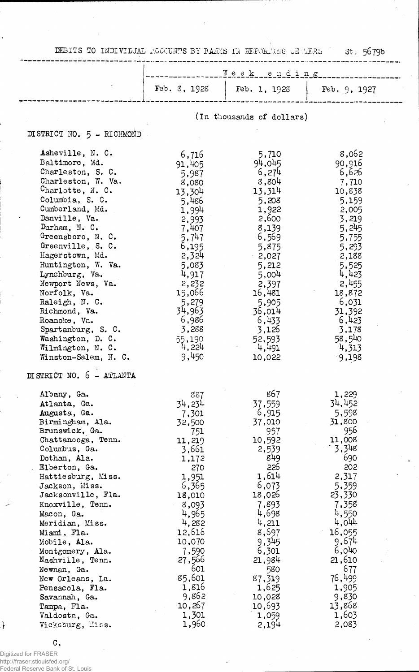DEBITS TO INDIVIDUAL ACCOUNTS BY BANKS IN REPORTING CETAERS

 $\frac{1}{2} \cdot \frac{1}{2} \cdot \frac{1}{2} \cdot \frac{1}{2} \cdot \frac{1}{2} \cdot \frac{1}{2} \cdot \frac{1}{2} \cdot \frac{1}{2} \cdot \frac{1}{2} \cdot \frac{1}{2} \cdot \frac{1}{2} \cdot \frac{1}{2} \cdot \frac{1}{2} \cdot \frac{1}{2} \cdot \frac{1}{2} \cdot \frac{1}{2} \cdot \frac{1}{2} \cdot \frac{1}{2} \cdot \frac{1}{2} \cdot \frac{1}{2} \cdot \frac{1}{2} \cdot \frac{1}{2} \cdot \frac{1}{2} \cdot \frac{1}{2} \cdot \frac{1$ 

 $\sim$  . .  $st.5679b$ 

|                                                                                                                                                                                                                                                                                                                                                                                                                                                                                               | Week ending                                                                                                                                                                                                                             |                                                                                                                                                                                                                                      |                                                                                                                                                                                                                                         |  |  |
|-----------------------------------------------------------------------------------------------------------------------------------------------------------------------------------------------------------------------------------------------------------------------------------------------------------------------------------------------------------------------------------------------------------------------------------------------------------------------------------------------|-----------------------------------------------------------------------------------------------------------------------------------------------------------------------------------------------------------------------------------------|--------------------------------------------------------------------------------------------------------------------------------------------------------------------------------------------------------------------------------------|-----------------------------------------------------------------------------------------------------------------------------------------------------------------------------------------------------------------------------------------|--|--|
|                                                                                                                                                                                                                                                                                                                                                                                                                                                                                               | Feb. 8, 1928                                                                                                                                                                                                                            | Feb. 1, 1923                                                                                                                                                                                                                         | Feb. 9, 1927                                                                                                                                                                                                                            |  |  |
|                                                                                                                                                                                                                                                                                                                                                                                                                                                                                               |                                                                                                                                                                                                                                         | (In thousands of dollars)                                                                                                                                                                                                            |                                                                                                                                                                                                                                         |  |  |
| DISTRICT NO. 5 - RICHMOND                                                                                                                                                                                                                                                                                                                                                                                                                                                                     |                                                                                                                                                                                                                                         |                                                                                                                                                                                                                                      |                                                                                                                                                                                                                                         |  |  |
| Asheville, N. C.<br>Baltimore, Md.<br>Charleston, S. C.<br>Charleston, W. Va.<br>Charlotte, $N. C.$<br>Columbia, S. C.<br>Cumberland, Md.<br>Danville, Va.<br>Durham, N. C.<br>Greensboro, N. C.<br>Greenville, S. C.<br>Hagerstown, Md.<br>Huntington, W. Va.<br>Lynchburg, Va.<br>Newport News, Va.<br>Norfolk, Va.<br>Raleigh, N. C.<br>Richmond, Va.<br>Roanoke, Va.<br>Spartanburg, S. C.<br>Washington, D. C.<br>Wilmington, N. C.<br>Winston-Salem, N. C.<br>DI STRICT NO. 6 - ATLANTA | 6,716<br>91,405<br>5,987<br>8,080<br>13,304<br>5,486<br>1,994<br>2,993<br>7,407<br>5,747<br>6,195<br>2,324<br>5,083<br>4,917<br>2,232<br>15,066<br>5,279<br>34,963<br>6,986<br>3,288<br>55,190<br>4,224<br>9,450                        | 5,710<br>94,045<br>6,274<br>8,804<br>13,314<br>5,208<br>1,922<br>2,600<br>8,139<br>6,569<br>5,875<br>2,027<br>5,212<br>5,004<br>2,397<br>16,481<br>5,905<br>36,014<br>6,433<br>3,126<br>52,593<br>4,491<br>10,022                    | 8,062<br>90,916<br>6,626<br>7,710<br>10,838<br>5,159<br>2,005<br>3,219<br>5,245<br>5,755<br>5,293<br>2,188<br>5,525<br>4,423<br>2,455<br>18,872<br>6,031<br>31,392<br>6,423<br>3,178<br>58,540<br>4,313<br>$-9,198$                     |  |  |
| Albany, Ga.<br>Atlanta, Ga.<br>Augusta, Ga.<br>Birmingham, Ala.<br>Brunswick, Ga.<br>Chattanooga, Tenn.<br>Columbus, Ga.<br>Dothan, Ala.<br>Elberton, Ga.<br>Hattiesburg, Miss.<br>Jackson, Miss.<br>Jacksonville, Fla.<br>Knoxville, Tenn.<br>Macon, Ga.<br>Meridian, Miss.<br>Miami, Fla.<br>Mobile, Ala.<br>Montgomery, Ala.<br>Nashville, Tenn.<br>Newnan, Ga.<br>New Orleans, La.<br>Pensacola, Fla.<br>Savannah, Ga.<br>Tampa, Fla.<br>Valdosta, Ga.<br>Vicksburg, Miss.                | 387<br>34,234<br>7,301<br>32,500<br>751<br>11,219<br>3,661<br>1,172<br>270<br>1,951<br>6,365<br>18,010<br>8,093<br>4,965<br>4,282<br>12,616<br>10,070<br>7,590<br>27,566<br>601<br>85,601<br>1,816<br>9,862<br>10,267<br>1,301<br>1,960 | 867<br>37,559<br>6,915<br>37,010<br>957<br>10,592<br>2,539<br>849<br>226<br>1,614<br>6,073<br>18,026<br>7,893<br>4,698<br>4,211<br>8,697<br>9,345<br>6,301<br>21,984<br>580<br>87,319<br>1,625<br>10,028<br>10,693<br>1,059<br>2.194 | 1,229<br>34,452<br>5,598<br>31,800<br>956<br>11,008<br>`3,348<br>690<br>202<br>2,317<br>5,359<br>23,330<br>7,358<br>4,550<br>4,044<br>16,055<br>9,674<br>6,040<br>21,610<br>677<br>76,499<br>1,905<br>9,830<br>13,868<br>1,603<br>2,083 |  |  |

 $\mathtt{C}$  .

Digitized for FRASER<br>http://fraser.stlouisfed.org/<br>Federal Reserve Bank of St. Louis

 $\rightarrow$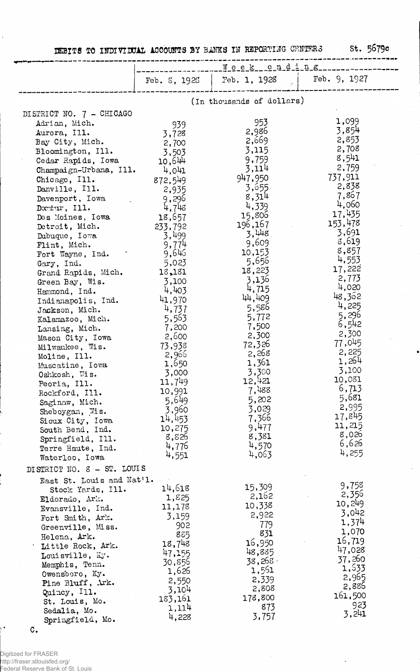|  | DEBITS TO INDIVIDUAL ACCOUNTS BY BANKS IN REPORTING CENTERS |  |  |  |  | . st. 5679c |
|--|-------------------------------------------------------------|--|--|--|--|-------------|

|                            | Week_cnding_c_ |                           |              |  |  |
|----------------------------|----------------|---------------------------|--------------|--|--|
|                            | Feb. 5, 1923   | Feb. 1, 1928              | Feb. 9, 1927 |  |  |
|                            |                | (In thousands of dollars) |              |  |  |
| DISTRICT NO. 7 - CHICAGO   |                |                           |              |  |  |
| Adrian, Mich.              | 939            | 953                       | 1,099        |  |  |
| Aurora, Ill.               | 3,728          | 2,986                     | 3,854        |  |  |
| Bay City, Mich.            | 2,700          | 2,669                     | 2,853        |  |  |
| Bloomington, Ill.          | 3,503          | 3,115                     | 2,708        |  |  |
| Cedar Rapids, Iowa         | 10,644         | 9,759                     | 8,541        |  |  |
| Champaign-Urbana, Ill.     | 4,041          | 3,114                     | 2,759        |  |  |
|                            |                | 947,950                   | 737,911      |  |  |
| Chicago, Ill.              | 872,549        | 3,655                     | 2,838        |  |  |
| Danville, Ill.             | 2,935          | 8,314                     | 7,867        |  |  |
| Davenport, Iowa            | 9,296          | 4,339                     | 4,060        |  |  |
| Doctur, Ill.               | 4,748          |                           | 17,435       |  |  |
| Des Moines, Iowa           | 18,657         | 15,806                    | 153,478      |  |  |
| Detroit, Mich.             | 233,792        | 196,167                   | 3,691        |  |  |
| Dubuque, Iowa              | 3,499          | 3,448                     | 8,619        |  |  |
| Flint, Mich.               | 9,774          | 9,609                     | 8,857        |  |  |
| Fort Wayne, Ind.           | 9,646          | 10,153                    | 4,553        |  |  |
| Gary, Ind.                 | 5,023          | 5,656                     | 17,222       |  |  |
| Grand Rapids, Mich.        | 13,181         | 18,223                    |              |  |  |
| Green Bay, Wis.            | 3,100          | 3,136                     | 2,773        |  |  |
| Hammond, Ind.              | 4,403          | 4,715                     | 4,020        |  |  |
| Indianapolis, Ind.         | 41,970         | 44,409                    | 48,362       |  |  |
| Jackson, Mich.             | 4,737          | 5,586                     | 4,225        |  |  |
| Kalamazoo, Mich.           | 5,563          | 5,772                     | 5,296        |  |  |
| Lansing, Mich.             | 7,200          | 7,500                     | 6,542        |  |  |
| Mason City, Iowa           | 2,600          | 2,300                     | 2,300        |  |  |
| Milwaukee, Wis.            | 73,938         | 72,326                    | 77,045       |  |  |
| Moline, Ill.               | 2,966          | 2,268                     | 2,225        |  |  |
| Muscatine, Iowa            | 1,650          | 1,361                     | 1,264        |  |  |
| Oshkosh, Wis.              | 3,000          | 3,300                     | 3,100        |  |  |
| Peoria, Ill.               | 11,749         | 12,421                    | 10,031       |  |  |
| Rockford, Ill.             | 10,991         | 7,488                     | 6,713        |  |  |
| Saginaw, Mich.             | 5,649          | 5,202                     | 5,681        |  |  |
| Sheboygan, Wis.            | 3,960          | 3,029                     | 2,995        |  |  |
| Sioux City, Iowa           | 14,453         | 7,366                     | 17,845       |  |  |
| South Bend, Ind.           | 10,275         | 9,477                     | 11,215       |  |  |
| Springfield, Ill.          | 8,826          | 8,381                     | 8,026        |  |  |
|                            | 4,776          | 4,570                     | 6,626        |  |  |
| Terre Haute, Ind.          | 4,551          | 4,063                     | 4,255        |  |  |
| Waterloo, Iowa             |                |                           |              |  |  |
| DISTRICT NO. 8 - ST. LOUIS |                |                           |              |  |  |
| East St. Louis and Nat'l.  |                | 15,309                    | 9,758        |  |  |
| Stock Yards, Ill.          | 14,618         | 2,162                     | 2,356        |  |  |
| Eldorado, Ark.             | 1,825          | 10,338                    | 10,249       |  |  |
| Evansville, Ind.           | 11,178         |                           | 3,042        |  |  |
| Fort Smith, Ark.           | 3,159          | 2,922                     | 1,374        |  |  |
| Greenville, Miss.          | 902            | 779                       | 1,070        |  |  |
| Helena, Ark.               | 885            | 831                       | 16,719       |  |  |
| Little Rock, Ark.          | 18,748         | 16,950                    |              |  |  |
| Louisville, Ky.            | 47,155         | 48,885                    | 47,028       |  |  |
| Memphis, Tenn.             | 30,856         | 38,268,                   | 37,260       |  |  |
| Owensboro, Ky.             | 1,626          | 1,561                     | 1,533        |  |  |
| Pine Bluff, Ark.           | 2,550          | 2,339                     | 2,965        |  |  |
| Quincy, Ill.               | 3,104          | 2,808                     | 2,886        |  |  |
| St. Louis, Mo.             | 183,161        | 178,800                   | 161,500      |  |  |
| Sedalia, Mo.               | 1,114          | 873                       | 923          |  |  |
| Springfield, Mo.           | 4,228          | 3,757                     | 3,241        |  |  |

J.

 $\ddot{\phantom{0}}$ 

Digitized for FRASER http://fraser.stlouisfed.org/ Federal Reserve Bank of St. Louis

C.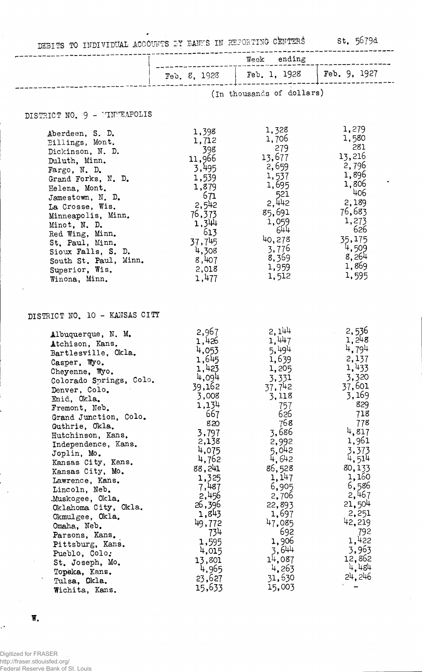DEBITS TO INDIVIDUAL ACCOUNTS *IY* BANKS IN REPORTING CENTERS St. 5679d Week ending

 $\ddot{\phantom{1}}$ 

|                                                                                                                                                                                                                                                                                                                                                                                                                                                                                                                                                                          | ending<br>Week                                                                                                                                                                                                                                           |                                                                                                                                                                                                                                                         |                                                                                                                                                                                                                                                        |  |  |  |
|--------------------------------------------------------------------------------------------------------------------------------------------------------------------------------------------------------------------------------------------------------------------------------------------------------------------------------------------------------------------------------------------------------------------------------------------------------------------------------------------------------------------------------------------------------------------------|----------------------------------------------------------------------------------------------------------------------------------------------------------------------------------------------------------------------------------------------------------|---------------------------------------------------------------------------------------------------------------------------------------------------------------------------------------------------------------------------------------------------------|--------------------------------------------------------------------------------------------------------------------------------------------------------------------------------------------------------------------------------------------------------|--|--|--|
|                                                                                                                                                                                                                                                                                                                                                                                                                                                                                                                                                                          | Feb. 8, 1928                                                                                                                                                                                                                                             | Feb. 1, 1928                                                                                                                                                                                                                                            | Feb. 9, 1927                                                                                                                                                                                                                                           |  |  |  |
|                                                                                                                                                                                                                                                                                                                                                                                                                                                                                                                                                                          |                                                                                                                                                                                                                                                          | (In thousands of dollars)                                                                                                                                                                                                                               |                                                                                                                                                                                                                                                        |  |  |  |
| DISTRICT NO. 9 - MINEAPOLIS                                                                                                                                                                                                                                                                                                                                                                                                                                                                                                                                              |                                                                                                                                                                                                                                                          |                                                                                                                                                                                                                                                         |                                                                                                                                                                                                                                                        |  |  |  |
| Aberdeen, S. D.<br>Billings, Mont.<br>Dickinson, N. D.<br>Duluth, Minn.<br>Fargo, N. D.<br>Grand Forks, N. D.<br>Helena, Mont.<br>Jamestown, N. D.<br>La Crosse, Wis.<br>Minneapolis, Minn.<br>Minot, N. D.<br>Red Wing, Minn.<br>St. Paul, Minn.<br>Sioux Falls, S. D.<br>South St. Paul, Minn.<br>Superior, Wis.<br>Winona, Minn.                                                                                                                                                                                                                                      | 1,398<br>1,712<br>398<br>11,966<br>3,495<br>1,539<br>1,879<br>671<br>2,542<br>76,373<br>1,344<br>613<br>37,745<br>4,308<br>8,407<br>2,018<br>1,477                                                                                                       | 1,328<br>1,706<br>279<br>13,677<br>2,659<br>1,537<br>1,695<br>521<br>2,442<br>85,691<br>1,059<br>644<br>40,278<br>3,776<br>8,359<br>1,959<br>1,512                                                                                                      | 1,279<br>1,580<br>281<br>13,216<br>2,796<br>1,896<br>1,806<br>406<br>2,189<br>76,683<br>1,273<br>626<br>35,175<br>4,509<br>8,264<br>1,869<br>1,595                                                                                                     |  |  |  |
| DISTRICT NO. 10 - KANSAS CITY<br>Albuquerque, N. M.<br>Atchison, Kans.<br>Bartlesville, Okla.<br>Casper, Wyo.<br>Cheyenne, Wyo.<br>Colorado Springs, Colo.<br>Denver, Colo.<br>Enid, Okla.<br>Fremont, Neb.<br>Grand Junction, Colo.<br>Guthrie, Okla.<br>Hutchinson, Kans.<br>Independence, Kans.<br>Joplin, Mo.<br>Kansas City, Kans.<br>Kansas City, Mo.<br>Lawrence, Kans.<br>Lincoln, Neb.<br>.Muskogee, Okla.<br>Oklahoma City, Okla.<br>Okmulgee, Okla.<br>Omaha, Neb.<br>Parsons, Kans.<br>Pittsburg, Kans.<br>Pueblo, Colo.<br>St. Joseph, Mo.<br>Topeka, Kans. | 2,967<br>1,426<br>4,053<br>1,645<br>1,423<br>4,094<br>39,162<br>3,008<br>1,134<br>667<br>820<br>3,797<br>2,138<br>4,075<br>4,762<br>88,241<br>1,325<br>7,487<br>2,456<br>26,396<br>1,843<br>49,772<br>734<br>1,595<br>4,015<br>13,801<br>4,965<br>23,627 | 2,144<br>1,447<br>5,494<br>1,639<br>1,205<br>3,331<br>37,742<br>3,118<br>757<br>626<br>768<br>3,686<br>2,992<br>5,042<br>4,642<br>86,528<br>1, 147<br>6,905<br>2,706<br>22,893<br>1,697<br>47,085<br>692<br>1,906<br>3,644<br>14,087<br>4,263<br>31,630 | 2,536<br>1,248<br>4,794<br>2,137<br>1,433<br>3,320<br>37,601<br>3,169<br>829<br>718<br>778<br>4,817<br>1,961<br>3,373<br>4,514<br>80,133<br>1,160<br>6,586<br>2,467<br>21,504<br>2,251<br>42,219<br>792<br>1,422<br>3,963<br>12,862<br>4,484<br>24,246 |  |  |  |

 $W_{\bullet}$ 

 $\mathcal{L}^{\mathcal{L}}$ 

 $\ddot{\phantom{1}}$ 

Digitized for FRASER http://fraser.stlouisfed.org/ Federal Reserve Bank of St. Louis